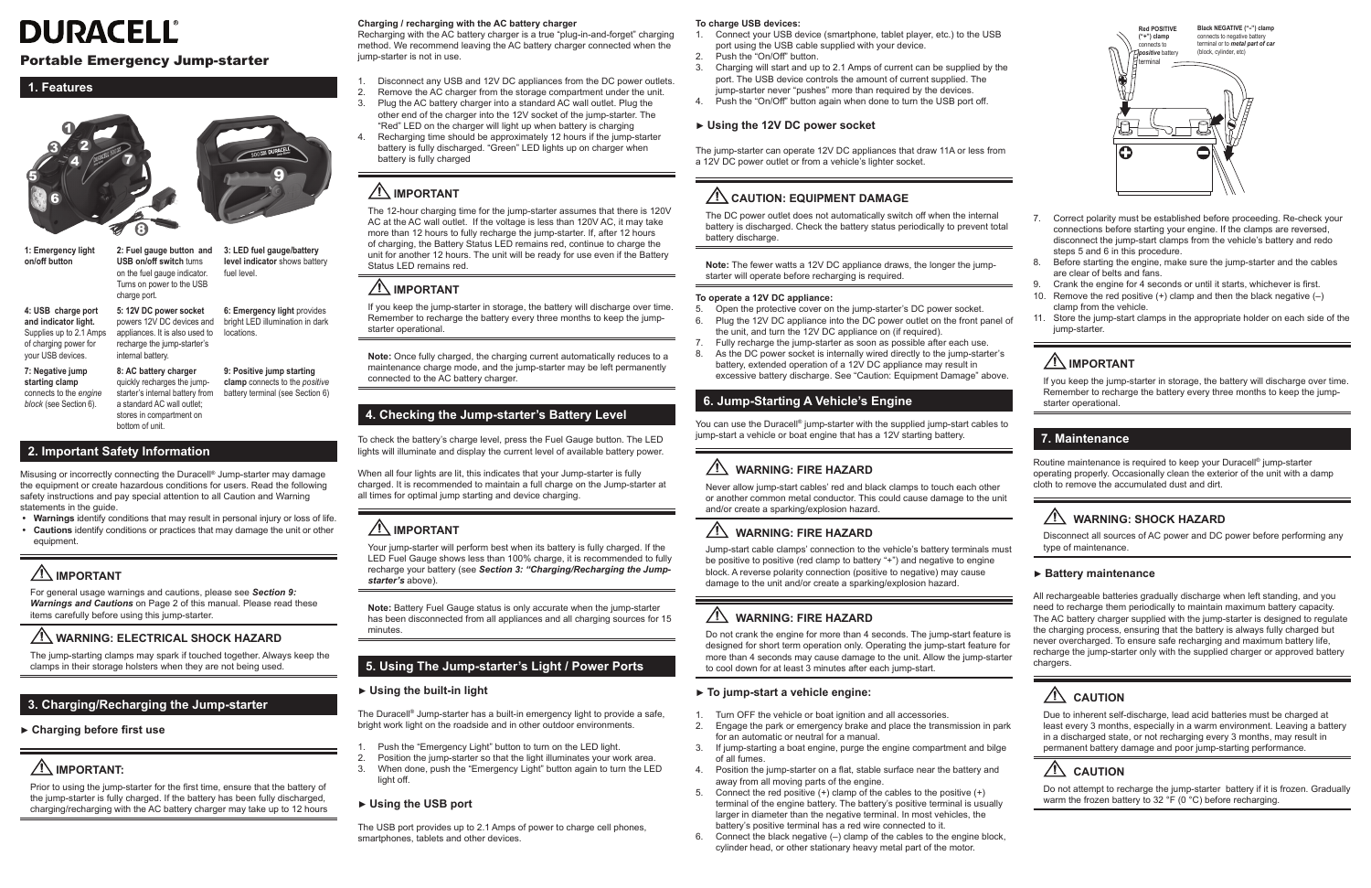| <b>Red POSITIVE</b><br>("+") clamp<br>connects to<br>positive battery<br>terminal | Black NEGATIVE ("-") clamp<br>connects to negative battery<br>terminal or to metal part of car<br>(block, cylinder, etc) |
|-----------------------------------------------------------------------------------|--------------------------------------------------------------------------------------------------------------------------|
|                                                                                   |                                                                                                                          |
|                                                                                   |                                                                                                                          |
|                                                                                   |                                                                                                                          |

- 7. Correct polarity must be established before proceeding. Re-check your connections before starting your engine. If the clamps are reversed, disconnect the jump-start clamps from the vehicle's battery and redo steps 5 and 6 in this procedure.
- 8. Before starting the engine, make sure the jump-starter and the cables are clear of belts and fans.
- 9. Crank the engine for 4 seconds or until it starts, whichever is first.
- 10. Remove the red positive  $(+)$  clamp and then the black negative  $(-)$ clamp from the vehicle.
- 11. Store the jump-start clamps in the appropriate holder on each side of the jump-starter.

# **IMPORTANT**

If you keep the jump-starter in storage, the battery will discharge over time. Remember to recharge the battery every three months to keep the jumpstarter operational.

#### **7. Maintenance**

Do not attempt to recharge the jump-starter battery if it is frozen. Gradually warm the frozen battery to 32 °F (0 °C) before recharging.

Routine maintenance is required to keep your Duracell® jump-starter operating properly. Occasionally clean the exterior of the unit with a damp cloth to remove the accumulated dust and dirt.

# **1 WARNING: SHOCK HAZARD**

Disconnect all sources of AC power and DC power before performing any type of maintenance.

#### **► Battery maintenance**

All rechargeable batteries gradually discharge when left standing, and you need to recharge them periodically to maintain maximum battery capacity. The AC battery charger supplied with the jump-starter is designed to regulate the charging process, ensuring that the battery is always fully charged but never overcharged. To ensure safe recharging and maximum battery life, recharge the jump-starter only with the supplied charger or approved battery chargers.

# **1** CAUTION

starter's internal battery from battery terminal (see Section 6) a standard AC wall outlet; stores in compartment on **clamp** connects to the *positive*

> Due to inherent self-discharge, lead acid batteries must be charged at least every 3 months, especially in a warm environment. Leaving a battery in a discharged state, or not recharging every 3 months, may result in permanent battery damage and poor jump-starting performance.

# $\sqrt{!}$  CAUTION

# **DURACELL®**

## Portable Emergency Jump-starter

#### **1. Features**



**1: Emergency light on/off button**

**2: Fuel gauge button and 3: LED fuel gauge/battery USB on/off switch** turns on the fuel gauge indicator. Turns on power to the USB charge port. **level indicator** shows battery fuel level. **5: 12V DC power socket**  powers 12V DC devices and bright LED illumination in dark **6: Emergency light** provides

**4: USB charge port and indicator light.**  Supplies up to 2.1 Amps of charging power for your USB devices.

**7: Negative jump starting clamp**  connects to the *engine block* (see Section 6).

appliances. It is also used to locations. recharge the jump-starter's internal battery. **8: AC battery charger**  quickly recharges the jump-**9: Positive jump starting** 

bottom of unit.

#### **2. Important Safety Information**

Misusing or incorrectly connecting the Duracell® Jump-starter may damage the equipment or create hazardous conditions for users. Read the following safety instructions and pay special attention to all Caution and Warning statements in the guide.

- 1. Push the "Emergency Light" button to turn on the LED light.
- 2. Position the jump-starter so that the light illuminates your work area.<br>3. When done, push the "Emergency Light" button again to turn the LE 3. When done, push the "Emergency Light" button again to turn the LED light off.
- **• Warnings** identify conditions that may result in personal injury or loss of life.
- **• Cautions** identify conditions or practices that may damage the unit or other equipment.

# **IMPORTANT**

For general usage warnings and cautions, please see *Section 9: Warnings and Cautions* on Page 2 of this manual. Please read these items carefully before using this jump-starter.

# **WARNING: ELECTRICAL SHOCK HAZARD**

The jump-starting clamps may spark if touched together. Always keep the clamps in their storage holsters when they are not being used.

# **3. Charging/Recharging the Jump-starter**

# **► Charging before first use**

# **IMPORTANT:**

Prior to using the jump-starter for the first time, ensure that the battery of the jump-starter is fully charged. If the battery has been fully discharged, charging/recharging with the AC battery charger may take up to 12 hours

#### **Charging / recharging with the AC battery charger**

- 5. Open the protective cover on the jump-starter's DC power socket.<br>6. Plug the 12V DC appliance into the DC power outlet on the front p Plug the 12V DC appliance into the DC power outlet on the front panel of the unit, and turn the 12V DC appliance on (if required).
- 7. Fully recharge the jump-starter as soon as possible after each use.
- 8. As the DC power socket is internally wired directly to the jump-starter's battery, extended operation of a 12V DC appliance may result in excessive battery discharge. See "Caution: Equipment Damage" above.

Recharging with the AC battery charger is a true "plug-in-and-forget" charging method. We recommend leaving the AC battery charger connected when the jump-starter is not in use.

- 1. Disconnect any USB and 12V DC appliances from the DC power outlets.
- 2. Remove the AC charger from the storage compartment under the unit.
- Plug the AC battery charger into a standard AC wall outlet. Plug the other end of the charger into the 12V socket of the jump-starter. The "Red" LED on the charger will light up when battery is charging
- 4. Recharging time should be approximately 12 hours if the jump-starter battery is fully discharged. "Green" LED lights up on charger when battery is fully charged

# **IMPORTANT**

The 12-hour charging time for the jump-starter assumes that there is 120V AC at the AC wall outlet. If the voltage is less than 120V AC, it may take more than 12 hours to fully recharge the jump-starter. If, after 12 hours of charging, the Battery Status LED remains red, continue to charge the unit for another 12 hours. The unit will be ready for use even if the Battery Status LED remains red.

- 1. Turn OFF the vehicle or boat ignition and all accessories.<br>2. Engage the park or emergency brake and place the trans
- 2. Engage the park or emergency brake and place the transmission in park for an automatic or neutral for a manual.
- 3. If jump-starting a boat engine, purge the engine compartment and bilge of all fumes.
- 4. Position the jump-starter on a flat, stable surface near the battery and away from all moving parts of the engine.
- 5. Connect the red positive (+) clamp of the cables to the positive (+) terminal of the engine battery. The battery's positive terminal is usually larger in diameter than the negative terminal. In most vehicles, the battery's positive terminal has a red wire connected to it.
- 6. Connect the black negative (–) clamp of the cables to the engine block, cylinder head, or other stationary heavy metal part of the motor.

# **IMPORTANT**

If you keep the jump-starter in storage, the battery will discharge over time. Remember to recharge the battery every three months to keep the jumpstarter operational.

**Note:** Once fully charged, the charging current automatically reduces to a maintenance charge mode, and the jump-starter may be left permanently connected to the AC battery charger.

### **4. Checking the Jump-starter's Battery Level**

To check the battery's charge level, press the Fuel Gauge button. The LED lights will illuminate and display the current level of available battery power.

When all four lights are lit, this indicates that your Jump-starter is fully charged. It is recommended to maintain a full charge on the Jump-starter at all times for optimal jump starting and device charging.

# **IMPORTANT**

Your jump-starter will perform best when its battery is fully charged. If the LED Fuel Gauge shows less than 100% charge, it is recommended to fully recharge your battery (see *Section 3: "Charging/Recharging the Jumpstarter's* above).

**Note:** Battery Fuel Gauge status is only accurate when the jump-starter has been disconnected from all appliances and all charging sources for 15 minutes.

### **5. Using The Jump-starter's Light / Power Ports**

#### **► Using the built-in light**

The Duracell® Jump-starter has a built-in emergency light to provide a safe, bright work light on the roadside and in other outdoor environments.

#### **► Using the USB port**

The USB port provides up to 2.1 Amps of power to charge cell phones, smartphones, tablets and other devices.

#### **To charge USB devices:**

- 1. Connect your USB device (smartphone, tablet player, etc.) to the USB port using the USB cable supplied with your device.
- 2. Push the "On/Off" button.
- 3. Charging will start and up to 2.1 Amps of current can be supplied by the port. The USB device controls the amount of current supplied. The jump-starter never "pushes" more than required by the devices.
- 4. Push the "On/Off" button again when done to turn the USB port off.

#### **► Using the 12V DC power socket**

The jump-starter can operate 12V DC appliances that draw 11A or less from a 12V DC power outlet or from a vehicle's lighter socket.

# **CAUTION: EQUIPMENT DAMAGE**

The DC power outlet does not automatically switch off when the internal battery is discharged. Check the battery status periodically to prevent total battery discharge.

**Note:** The fewer watts a 12V DC appliance draws, the longer the jumpstarter will operate before recharging is required.

#### **To operate a 12V DC appliance:**

## **6. Jump-Starting A Vehicle's Engine**

You can use the Duracell® jump-starter with the supplied jump-start cables to jump-start a vehicle or boat engine that has a 12V starting battery.

# **1 WARNING: FIRE HAZARD**

Never allow jump-start cables' red and black clamps to touch each other or another common metal conductor. This could cause damage to the unit and/or create a sparking/explosion hazard.

# **WARNING: FIRE HAZARD**

Jump-start cable clamps' connection to the vehicle's battery terminals must be positive to positive (red clamp to battery "+") and negative to engine block. A reverse polarity connection (positive to negative) may cause damage to the unit and/or create a sparking/explosion hazard.

# **1 WARNING: FIRE HAZARD**

Do not crank the engine for more than 4 seconds. The jump-start feature is designed for short term operation only. Operating the jump-start feature for more than 4 seconds may cause damage to the unit. Allow the jump-starter to cool down for at least 3 minutes after each jump-start.

#### **► To jump-start a vehicle engine:**